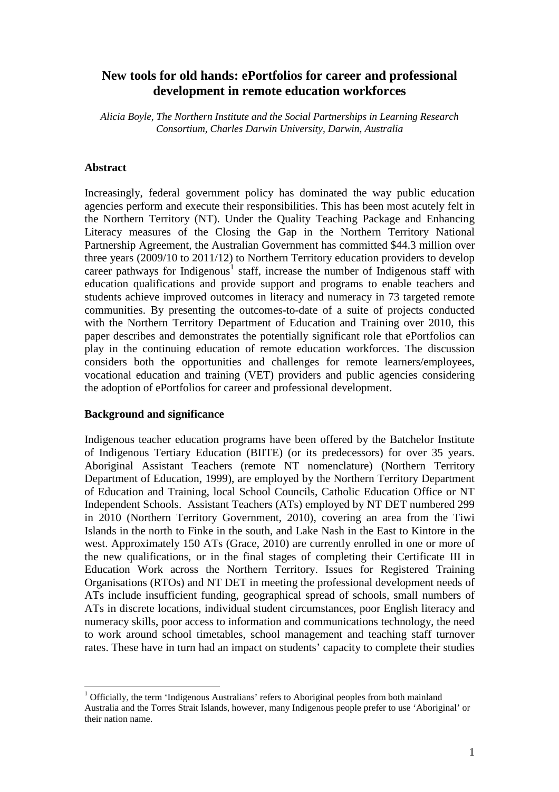# **New tools for old hands: ePortfolios for career and professional development in remote education workforces**

*Alicia Boyle, The Northern Institute and the Social Partnerships in Learning Research Consortium, Charles Darwin University, Darwin, Australia* 

#### **Abstract**

Increasingly, federal government policy has dominated the way public education agencies perform and execute their responsibilities. This has been most acutely felt in the Northern Territory (NT). Under the Quality Teaching Package and Enhancing Literacy measures of the Closing the Gap in the Northern Territory National Partnership Agreement, the Australian Government has committed \$44.3 million over three years (2009/10 to 2011/12) to Northern Territory education providers to develop career pathways for Indigenous<sup>1</sup> staff, increase the number of Indigenous staff with education qualifications and provide support and programs to enable teachers and students achieve improved outcomes in literacy and numeracy in 73 targeted remote communities. By presenting the outcomes-to-date of a suite of projects conducted with the Northern Territory Department of Education and Training over 2010, this paper describes and demonstrates the potentially significant role that ePortfolios can play in the continuing education of remote education workforces. The discussion considers both the opportunities and challenges for remote learners/employees, vocational education and training (VET) providers and public agencies considering the adoption of ePortfolios for career and professional development.

#### **Background and significance**

 $\overline{a}$ 

Indigenous teacher education programs have been offered by the Batchelor Institute of Indigenous Tertiary Education (BIITE) (or its predecessors) for over 35 years. Aboriginal Assistant Teachers (remote NT nomenclature) (Northern Territory Department of Education, 1999), are employed by the Northern Territory Department of Education and Training, local School Councils, Catholic Education Office or NT Independent Schools. Assistant Teachers (ATs) employed by NT DET numbered 299 in 2010 (Northern Territory Government, 2010), covering an area from the Tiwi Islands in the north to Finke in the south, and Lake Nash in the East to Kintore in the west. Approximately 150 ATs (Grace, 2010) are currently enrolled in one or more of the new qualifications, or in the final stages of completing their Certificate III in Education Work across the Northern Territory. Issues for Registered Training Organisations (RTOs) and NT DET in meeting the professional development needs of ATs include insufficient funding, geographical spread of schools, small numbers of ATs in discrete locations, individual student circumstances, poor English literacy and numeracy skills, poor access to information and communications technology, the need to work around school timetables, school management and teaching staff turnover rates. These have in turn had an impact on students' capacity to complete their studies

<sup>&</sup>lt;sup>1</sup> Officially, the term 'Indigenous Australians' refers to Aboriginal peoples from both mainland Australia and the Torres Strait Islands, however, many Indigenous people prefer to use 'Aboriginal' or their nation name.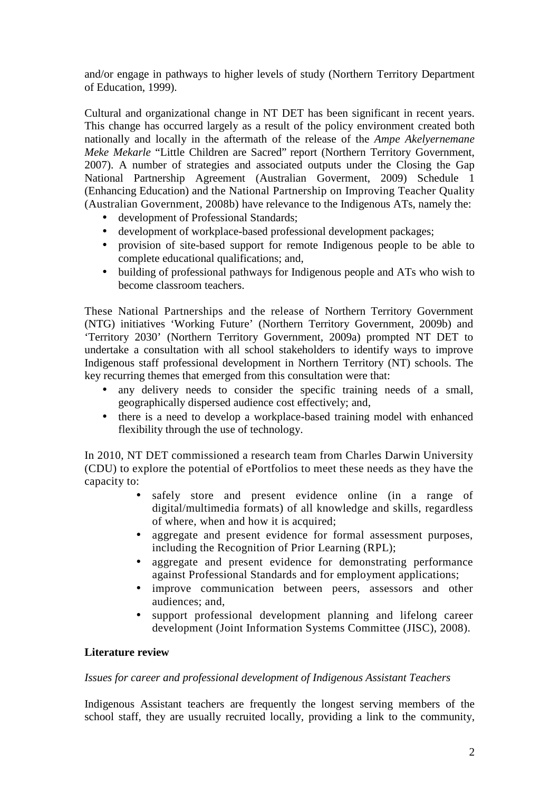and/or engage in pathways to higher levels of study (Northern Territory Department of Education, 1999).

Cultural and organizational change in NT DET has been significant in recent years. This change has occurred largely as a result of the policy environment created both nationally and locally in the aftermath of the release of the *Ampe Akelyernemane Meke Mekarle* "Little Children are Sacred" report (Northern Territory Government, 2007). A number of strategies and associated outputs under the Closing the Gap National Partnership Agreement (Australian Goverment, 2009) Schedule 1 (Enhancing Education) and the National Partnership on Improving Teacher Quality (Australian Government, 2008b) have relevance to the Indigenous ATs, namely the:

- development of Professional Standards;
- development of workplace-based professional development packages;
- provision of site-based support for remote Indigenous people to be able to complete educational qualifications; and,
- building of professional pathways for Indigenous people and ATs who wish to become classroom teachers.

These National Partnerships and the release of Northern Territory Government (NTG) initiatives 'Working Future' (Northern Territory Government, 2009b) and 'Territory 2030' (Northern Territory Government, 2009a) prompted NT DET to undertake a consultation with all school stakeholders to identify ways to improve Indigenous staff professional development in Northern Territory (NT) schools. The key recurring themes that emerged from this consultation were that:

- any delivery needs to consider the specific training needs of a small, geographically dispersed audience cost effectively; and,
- there is a need to develop a workplace-based training model with enhanced flexibility through the use of technology.

In 2010, NT DET commissioned a research team from Charles Darwin University (CDU) to explore the potential of ePortfolios to meet these needs as they have the capacity to:

- safely store and present evidence online (in a range of digital/multimedia formats) of all knowledge and skills, regardless of where, when and how it is acquired;
- aggregate and present evidence for formal assessment purposes, including the Recognition of Prior Learning (RPL);
- aggregate and present evidence for demonstrating performance against Professional Standards and for employment applications;
- improve communication between peers, assessors and other audiences; and,
- support professional development planning and lifelong career development (Joint Information Systems Committee (JISC), 2008).

### **Literature review**

### *Issues for career and professional development of Indigenous Assistant Teachers*

Indigenous Assistant teachers are frequently the longest serving members of the school staff, they are usually recruited locally, providing a link to the community,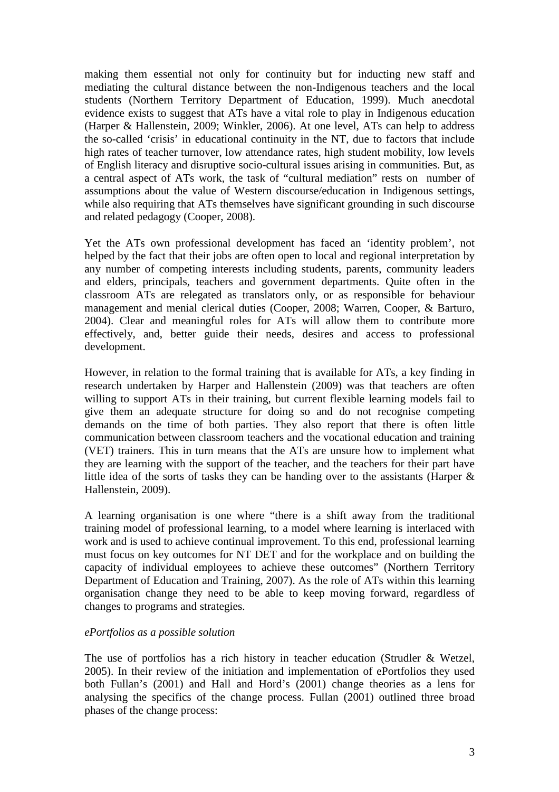making them essential not only for continuity but for inducting new staff and mediating the cultural distance between the non-Indigenous teachers and the local students (Northern Territory Department of Education, 1999). Much anecdotal evidence exists to suggest that ATs have a vital role to play in Indigenous education (Harper & Hallenstein, 2009; Winkler, 2006). At one level, ATs can help to address the so-called 'crisis' in educational continuity in the NT, due to factors that include high rates of teacher turnover, low attendance rates, high student mobility, low levels of English literacy and disruptive socio-cultural issues arising in communities. But, as a central aspect of ATs work, the task of "cultural mediation" rests on number of assumptions about the value of Western discourse/education in Indigenous settings, while also requiring that ATs themselves have significant grounding in such discourse and related pedagogy (Cooper, 2008).

Yet the ATs own professional development has faced an 'identity problem', not helped by the fact that their jobs are often open to local and regional interpretation by any number of competing interests including students, parents, community leaders and elders, principals, teachers and government departments. Quite often in the classroom ATs are relegated as translators only, or as responsible for behaviour management and menial clerical duties (Cooper, 2008; Warren, Cooper, & Barturo, 2004). Clear and meaningful roles for ATs will allow them to contribute more effectively, and, better guide their needs, desires and access to professional development.

However, in relation to the formal training that is available for ATs, a key finding in research undertaken by Harper and Hallenstein (2009) was that teachers are often willing to support ATs in their training, but current flexible learning models fail to give them an adequate structure for doing so and do not recognise competing demands on the time of both parties. They also report that there is often little communication between classroom teachers and the vocational education and training (VET) trainers. This in turn means that the ATs are unsure how to implement what they are learning with the support of the teacher, and the teachers for their part have little idea of the sorts of tasks they can be handing over to the assistants (Harper & Hallenstein, 2009).

A learning organisation is one where "there is a shift away from the traditional training model of professional learning, to a model where learning is interlaced with work and is used to achieve continual improvement. To this end, professional learning must focus on key outcomes for NT DET and for the workplace and on building the capacity of individual employees to achieve these outcomes" (Northern Territory Department of Education and Training, 2007). As the role of ATs within this learning organisation change they need to be able to keep moving forward, regardless of changes to programs and strategies.

### *ePortfolios as a possible solution*

The use of portfolios has a rich history in teacher education (Strudler & Wetzel, 2005). In their review of the initiation and implementation of ePortfolios they used both Fullan's (2001) and Hall and Hord's (2001) change theories as a lens for analysing the specifics of the change process. Fullan (2001) outlined three broad phases of the change process: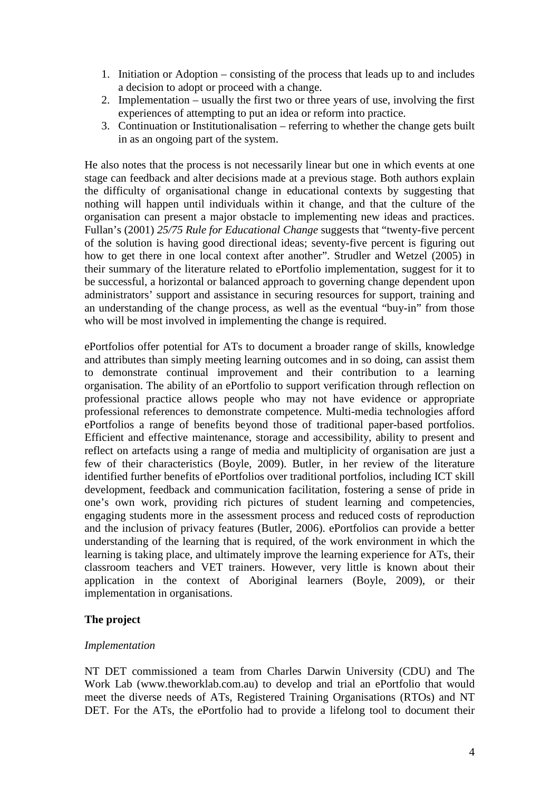- 1. Initiation or Adoption consisting of the process that leads up to and includes a decision to adopt or proceed with a change.
- 2. Implementation usually the first two or three years of use, involving the first experiences of attempting to put an idea or reform into practice.
- 3. Continuation or Institutionalisation referring to whether the change gets built in as an ongoing part of the system.

He also notes that the process is not necessarily linear but one in which events at one stage can feedback and alter decisions made at a previous stage. Both authors explain the difficulty of organisational change in educational contexts by suggesting that nothing will happen until individuals within it change, and that the culture of the organisation can present a major obstacle to implementing new ideas and practices. Fullan's (2001) *25/75 Rule for Educational Change* suggests that "twenty-five percent of the solution is having good directional ideas; seventy-five percent is figuring out how to get there in one local context after another". Strudler and Wetzel (2005) in their summary of the literature related to ePortfolio implementation, suggest for it to be successful, a horizontal or balanced approach to governing change dependent upon administrators' support and assistance in securing resources for support, training and an understanding of the change process, as well as the eventual "buy-in" from those who will be most involved in implementing the change is required.

ePortfolios offer potential for ATs to document a broader range of skills, knowledge and attributes than simply meeting learning outcomes and in so doing, can assist them to demonstrate continual improvement and their contribution to a learning organisation. The ability of an ePortfolio to support verification through reflection on professional practice allows people who may not have evidence or appropriate professional references to demonstrate competence. Multi-media technologies afford ePortfolios a range of benefits beyond those of traditional paper-based portfolios. Efficient and effective maintenance, storage and accessibility, ability to present and reflect on artefacts using a range of media and multiplicity of organisation are just a few of their characteristics (Boyle, 2009). Butler, in her review of the literature identified further benefits of ePortfolios over traditional portfolios, including ICT skill development, feedback and communication facilitation, fostering a sense of pride in one's own work, providing rich pictures of student learning and competencies, engaging students more in the assessment process and reduced costs of reproduction and the inclusion of privacy features (Butler, 2006). ePortfolios can provide a better understanding of the learning that is required, of the work environment in which the learning is taking place, and ultimately improve the learning experience for ATs, their classroom teachers and VET trainers. However, very little is known about their application in the context of Aboriginal learners (Boyle, 2009), or their implementation in organisations.

## **The project**

## *Implementation*

NT DET commissioned a team from Charles Darwin University (CDU) and The Work Lab (www.theworklab.com.au) to develop and trial an ePortfolio that would meet the diverse needs of ATs, Registered Training Organisations (RTOs) and NT DET. For the ATs, the ePortfolio had to provide a lifelong tool to document their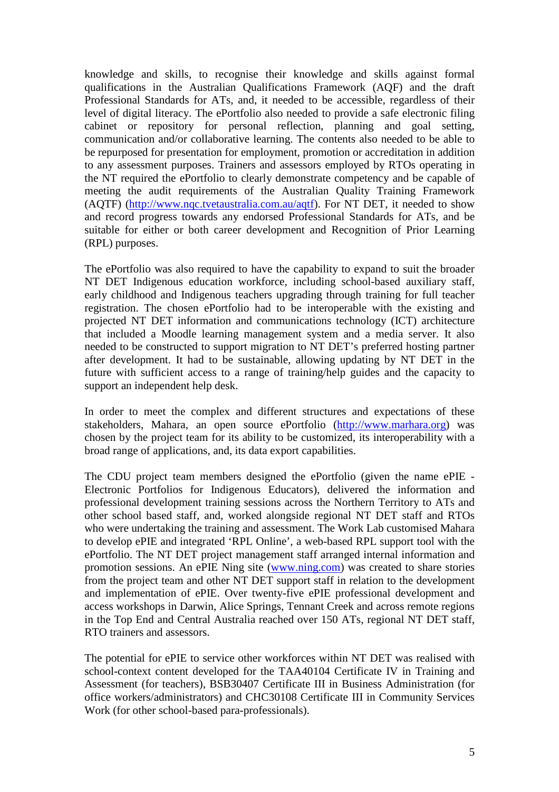knowledge and skills, to recognise their knowledge and skills against formal qualifications in the Australian Qualifications Framework (AQF) and the draft Professional Standards for ATs, and, it needed to be accessible, regardless of their level of digital literacy. The ePortfolio also needed to provide a safe electronic filing cabinet or repository for personal reflection, planning and goal setting, communication and/or collaborative learning. The contents also needed to be able to be repurposed for presentation for employment, promotion or accreditation in addition to any assessment purposes. Trainers and assessors employed by RTOs operating in the NT required the ePortfolio to clearly demonstrate competency and be capable of meeting the audit requirements of the Australian Quality Training Framework (AQTF) (http://www.nqc.tvetaustralia.com.au/aqtf). For NT DET, it needed to show and record progress towards any endorsed Professional Standards for ATs, and be suitable for either or both career development and Recognition of Prior Learning (RPL) purposes.

The ePortfolio was also required to have the capability to expand to suit the broader NT DET Indigenous education workforce, including school-based auxiliary staff, early childhood and Indigenous teachers upgrading through training for full teacher registration. The chosen ePortfolio had to be interoperable with the existing and projected NT DET information and communications technology (ICT) architecture that included a Moodle learning management system and a media server. It also needed to be constructed to support migration to NT DET's preferred hosting partner after development. It had to be sustainable, allowing updating by NT DET in the future with sufficient access to a range of training/help guides and the capacity to support an independent help desk.

In order to meet the complex and different structures and expectations of these stakeholders, Mahara, an open source ePortfolio (http://www.marhara.org) was chosen by the project team for its ability to be customized, its interoperability with a broad range of applications, and, its data export capabilities.

The CDU project team members designed the ePortfolio (given the name ePIE - Electronic Portfolios for Indigenous Educators), delivered the information and professional development training sessions across the Northern Territory to ATs and other school based staff, and, worked alongside regional NT DET staff and RTOs who were undertaking the training and assessment. The Work Lab customised Mahara to develop ePIE and integrated 'RPL Online', a web-based RPL support tool with the ePortfolio. The NT DET project management staff arranged internal information and promotion sessions. An ePIE Ning site (www.ning.com) was created to share stories from the project team and other NT DET support staff in relation to the development and implementation of ePIE. Over twenty-five ePIE professional development and access workshops in Darwin, Alice Springs, Tennant Creek and across remote regions in the Top End and Central Australia reached over 150 ATs, regional NT DET staff, RTO trainers and assessors.

The potential for ePIE to service other workforces within NT DET was realised with school-context content developed for the TAA40104 Certificate IV in Training and Assessment (for teachers), BSB30407 Certificate III in Business Administration (for office workers/administrators) and CHC30108 Certificate III in Community Services Work (for other school-based para-professionals).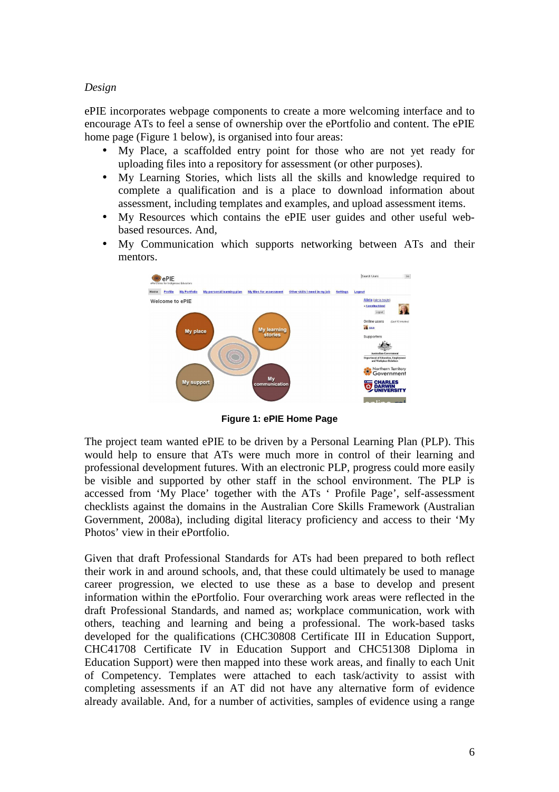## *Design*

ePIE incorporates webpage components to create a more welcoming interface and to encourage ATs to feel a sense of ownership over the ePortfolio and content. The ePIE home page (Figure 1 below), is organised into four areas:

- My Place, a scaffolded entry point for those who are not yet ready for uploading files into a repository for assessment (or other purposes).
- My Learning Stories, which lists all the skills and knowledge required to complete a qualification and is a place to download information about assessment, including templates and examples, and upload assessment items.
- My Resources which contains the ePIE user guides and other useful webbased resources. And,
- My Communication which supports networking between ATs and their mentors.



**Figure 1: ePIE Home Page** 

The project team wanted ePIE to be driven by a Personal Learning Plan (PLP). This would help to ensure that ATs were much more in control of their learning and professional development futures. With an electronic PLP, progress could more easily be visible and supported by other staff in the school environment. The PLP is accessed from 'My Place' together with the ATs ' Profile Page', self-assessment checklists against the domains in the Australian Core Skills Framework (Australian Government, 2008a), including digital literacy proficiency and access to their 'My Photos' view in their ePortfolio.

Given that draft Professional Standards for ATs had been prepared to both reflect their work in and around schools, and, that these could ultimately be used to manage career progression, we elected to use these as a base to develop and present information within the ePortfolio. Four overarching work areas were reflected in the draft Professional Standards, and named as; workplace communication, work with others, teaching and learning and being a professional. The work-based tasks developed for the qualifications (CHC30808 Certificate III in Education Support, CHC41708 Certificate IV in Education Support and CHC51308 Diploma in Education Support) were then mapped into these work areas, and finally to each Unit of Competency. Templates were attached to each task/activity to assist with completing assessments if an AT did not have any alternative form of evidence already available. And, for a number of activities, samples of evidence using a range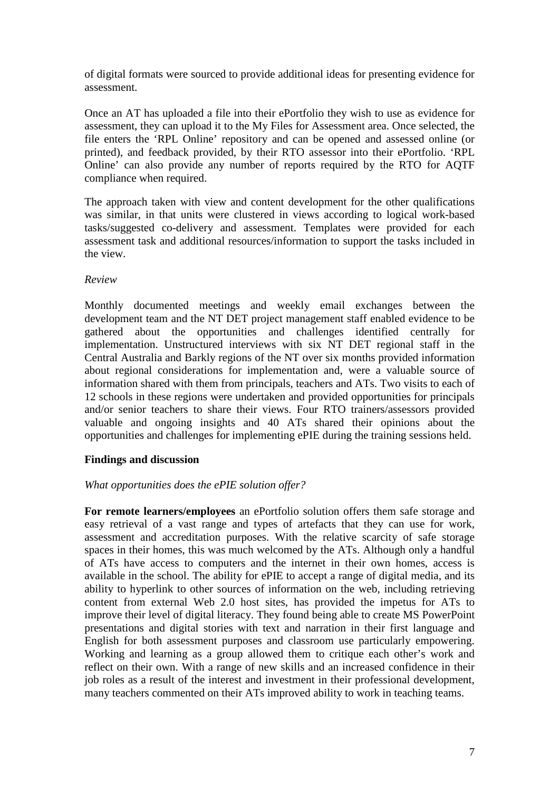of digital formats were sourced to provide additional ideas for presenting evidence for assessment.

Once an AT has uploaded a file into their ePortfolio they wish to use as evidence for assessment, they can upload it to the My Files for Assessment area. Once selected, the file enters the 'RPL Online' repository and can be opened and assessed online (or printed), and feedback provided, by their RTO assessor into their ePortfolio. 'RPL Online' can also provide any number of reports required by the RTO for AQTF compliance when required.

The approach taken with view and content development for the other qualifications was similar, in that units were clustered in views according to logical work-based tasks/suggested co-delivery and assessment. Templates were provided for each assessment task and additional resources/information to support the tasks included in the view.

### *Review*

Monthly documented meetings and weekly email exchanges between the development team and the NT DET project management staff enabled evidence to be gathered about the opportunities and challenges identified centrally for implementation. Unstructured interviews with six NT DET regional staff in the Central Australia and Barkly regions of the NT over six months provided information about regional considerations for implementation and, were a valuable source of information shared with them from principals, teachers and ATs. Two visits to each of 12 schools in these regions were undertaken and provided opportunities for principals and/or senior teachers to share their views. Four RTO trainers/assessors provided valuable and ongoing insights and 40 ATs shared their opinions about the opportunities and challenges for implementing ePIE during the training sessions held.

### **Findings and discussion**

## *What opportunities does the ePIE solution offer?*

**For remote learners/employees** an ePortfolio solution offers them safe storage and easy retrieval of a vast range and types of artefacts that they can use for work, assessment and accreditation purposes. With the relative scarcity of safe storage spaces in their homes, this was much welcomed by the ATs. Although only a handful of ATs have access to computers and the internet in their own homes, access is available in the school. The ability for ePIE to accept a range of digital media, and its ability to hyperlink to other sources of information on the web, including retrieving content from external Web 2.0 host sites, has provided the impetus for ATs to improve their level of digital literacy. They found being able to create MS PowerPoint presentations and digital stories with text and narration in their first language and English for both assessment purposes and classroom use particularly empowering. Working and learning as a group allowed them to critique each other's work and reflect on their own. With a range of new skills and an increased confidence in their job roles as a result of the interest and investment in their professional development, many teachers commented on their ATs improved ability to work in teaching teams.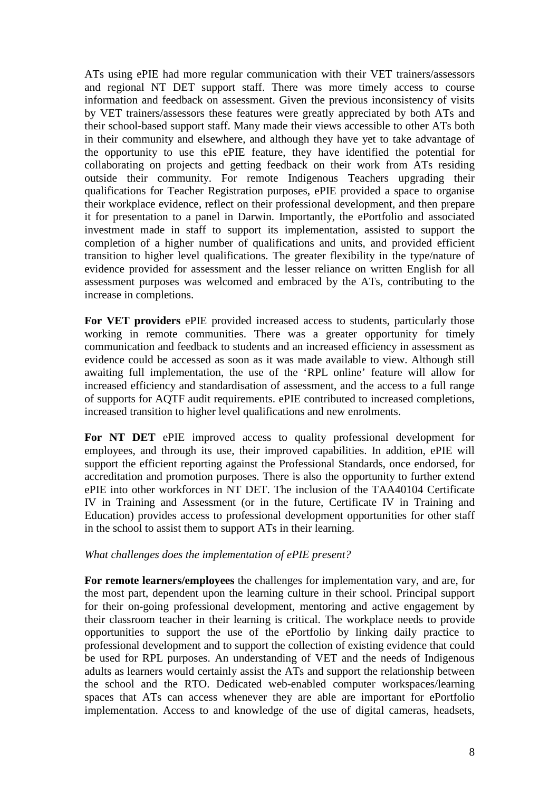ATs using ePIE had more regular communication with their VET trainers/assessors and regional NT DET support staff. There was more timely access to course information and feedback on assessment. Given the previous inconsistency of visits by VET trainers/assessors these features were greatly appreciated by both ATs and their school-based support staff. Many made their views accessible to other ATs both in their community and elsewhere, and although they have yet to take advantage of the opportunity to use this ePIE feature, they have identified the potential for collaborating on projects and getting feedback on their work from ATs residing outside their community. For remote Indigenous Teachers upgrading their qualifications for Teacher Registration purposes, ePIE provided a space to organise their workplace evidence, reflect on their professional development, and then prepare it for presentation to a panel in Darwin. Importantly, the ePortfolio and associated investment made in staff to support its implementation, assisted to support the completion of a higher number of qualifications and units, and provided efficient transition to higher level qualifications. The greater flexibility in the type/nature of evidence provided for assessment and the lesser reliance on written English for all assessment purposes was welcomed and embraced by the ATs, contributing to the increase in completions.

**For VET providers** ePIE provided increased access to students, particularly those working in remote communities. There was a greater opportunity for timely communication and feedback to students and an increased efficiency in assessment as evidence could be accessed as soon as it was made available to view. Although still awaiting full implementation, the use of the 'RPL online' feature will allow for increased efficiency and standardisation of assessment, and the access to a full range of supports for AQTF audit requirements. ePIE contributed to increased completions, increased transition to higher level qualifications and new enrolments.

**For NT DET** ePIE improved access to quality professional development for employees, and through its use, their improved capabilities. In addition, ePIE will support the efficient reporting against the Professional Standards, once endorsed, for accreditation and promotion purposes. There is also the opportunity to further extend ePIE into other workforces in NT DET. The inclusion of the TAA40104 Certificate IV in Training and Assessment (or in the future, Certificate IV in Training and Education) provides access to professional development opportunities for other staff in the school to assist them to support ATs in their learning.

### *What challenges does the implementation of ePIE present?*

**For remote learners/employees** the challenges for implementation vary, and are, for the most part, dependent upon the learning culture in their school. Principal support for their on-going professional development, mentoring and active engagement by their classroom teacher in their learning is critical. The workplace needs to provide opportunities to support the use of the ePortfolio by linking daily practice to professional development and to support the collection of existing evidence that could be used for RPL purposes. An understanding of VET and the needs of Indigenous adults as learners would certainly assist the ATs and support the relationship between the school and the RTO. Dedicated web-enabled computer workspaces/learning spaces that ATs can access whenever they are able are important for ePortfolio implementation. Access to and knowledge of the use of digital cameras, headsets,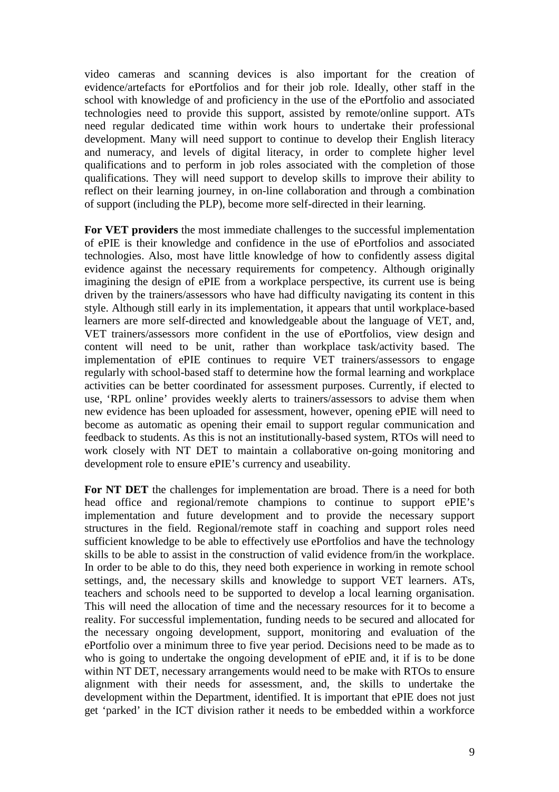video cameras and scanning devices is also important for the creation of evidence/artefacts for ePortfolios and for their job role. Ideally, other staff in the school with knowledge of and proficiency in the use of the ePortfolio and associated technologies need to provide this support, assisted by remote/online support. ATs need regular dedicated time within work hours to undertake their professional development. Many will need support to continue to develop their English literacy and numeracy, and levels of digital literacy, in order to complete higher level qualifications and to perform in job roles associated with the completion of those qualifications. They will need support to develop skills to improve their ability to reflect on their learning journey, in on-line collaboration and through a combination of support (including the PLP), become more self-directed in their learning.

**For VET providers** the most immediate challenges to the successful implementation of ePIE is their knowledge and confidence in the use of ePortfolios and associated technologies. Also, most have little knowledge of how to confidently assess digital evidence against the necessary requirements for competency. Although originally imagining the design of ePIE from a workplace perspective, its current use is being driven by the trainers/assessors who have had difficulty navigating its content in this style. Although still early in its implementation, it appears that until workplace-based learners are more self-directed and knowledgeable about the language of VET, and, VET trainers/assessors more confident in the use of ePortfolios, view design and content will need to be unit, rather than workplace task/activity based. The implementation of ePIE continues to require VET trainers/assessors to engage regularly with school-based staff to determine how the formal learning and workplace activities can be better coordinated for assessment purposes. Currently, if elected to use, 'RPL online' provides weekly alerts to trainers/assessors to advise them when new evidence has been uploaded for assessment, however, opening ePIE will need to become as automatic as opening their email to support regular communication and feedback to students. As this is not an institutionally-based system, RTOs will need to work closely with NT DET to maintain a collaborative on-going monitoring and development role to ensure ePIE's currency and useability.

For NT DET the challenges for implementation are broad. There is a need for both head office and regional/remote champions to continue to support ePIE's implementation and future development and to provide the necessary support structures in the field. Regional/remote staff in coaching and support roles need sufficient knowledge to be able to effectively use ePortfolios and have the technology skills to be able to assist in the construction of valid evidence from/in the workplace. In order to be able to do this, they need both experience in working in remote school settings, and, the necessary skills and knowledge to support VET learners. ATs, teachers and schools need to be supported to develop a local learning organisation. This will need the allocation of time and the necessary resources for it to become a reality. For successful implementation, funding needs to be secured and allocated for the necessary ongoing development, support, monitoring and evaluation of the ePortfolio over a minimum three to five year period. Decisions need to be made as to who is going to undertake the ongoing development of ePIE and, it if is to be done within NT DET, necessary arrangements would need to be make with RTOs to ensure alignment with their needs for assessment, and, the skills to undertake the development within the Department, identified. It is important that ePIE does not just get 'parked' in the ICT division rather it needs to be embedded within a workforce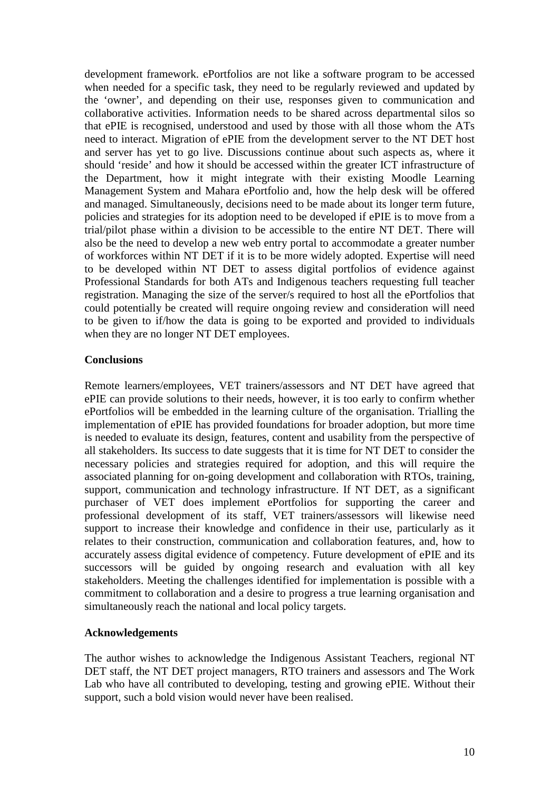development framework. ePortfolios are not like a software program to be accessed when needed for a specific task, they need to be regularly reviewed and updated by the 'owner', and depending on their use, responses given to communication and collaborative activities. Information needs to be shared across departmental silos so that ePIE is recognised, understood and used by those with all those whom the ATs need to interact. Migration of ePIE from the development server to the NT DET host and server has yet to go live. Discussions continue about such aspects as, where it should 'reside' and how it should be accessed within the greater ICT infrastructure of the Department, how it might integrate with their existing Moodle Learning Management System and Mahara ePortfolio and, how the help desk will be offered and managed. Simultaneously, decisions need to be made about its longer term future, policies and strategies for its adoption need to be developed if ePIE is to move from a trial/pilot phase within a division to be accessible to the entire NT DET. There will also be the need to develop a new web entry portal to accommodate a greater number of workforces within NT DET if it is to be more widely adopted. Expertise will need to be developed within NT DET to assess digital portfolios of evidence against Professional Standards for both ATs and Indigenous teachers requesting full teacher registration. Managing the size of the server/s required to host all the ePortfolios that could potentially be created will require ongoing review and consideration will need to be given to if/how the data is going to be exported and provided to individuals when they are no longer NT DET employees.

## **Conclusions**

Remote learners/employees, VET trainers/assessors and NT DET have agreed that ePIE can provide solutions to their needs, however, it is too early to confirm whether ePortfolios will be embedded in the learning culture of the organisation. Trialling the implementation of ePIE has provided foundations for broader adoption, but more time is needed to evaluate its design, features, content and usability from the perspective of all stakeholders. Its success to date suggests that it is time for NT DET to consider the necessary policies and strategies required for adoption, and this will require the associated planning for on-going development and collaboration with RTOs, training, support, communication and technology infrastructure. If NT DET, as a significant purchaser of VET does implement ePortfolios for supporting the career and professional development of its staff, VET trainers/assessors will likewise need support to increase their knowledge and confidence in their use, particularly as it relates to their construction, communication and collaboration features, and, how to accurately assess digital evidence of competency. Future development of ePIE and its successors will be guided by ongoing research and evaluation with all key stakeholders. Meeting the challenges identified for implementation is possible with a commitment to collaboration and a desire to progress a true learning organisation and simultaneously reach the national and local policy targets.

### **Acknowledgements**

The author wishes to acknowledge the Indigenous Assistant Teachers, regional NT DET staff, the NT DET project managers, RTO trainers and assessors and The Work Lab who have all contributed to developing, testing and growing ePIE. Without their support, such a bold vision would never have been realised.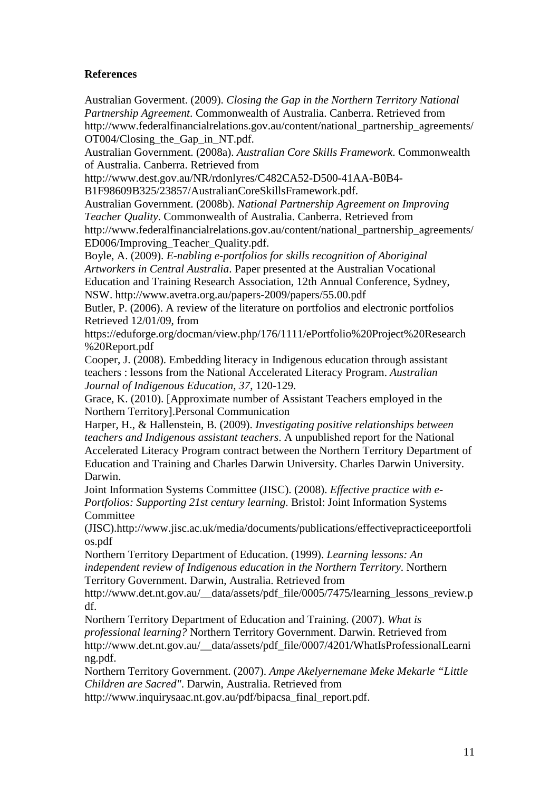# **References**

Australian Goverment. (2009). *Closing the Gap in the Northern Territory National Partnership Agreement*. Commonwealth of Australia. Canberra. Retrieved from http://www.federalfinancialrelations.gov.au/content/national\_partnership\_agreements/ OT004/Closing\_the\_Gap\_in\_NT.pdf.

Australian Government. (2008a). *Australian Core Skills Framework*. Commonwealth of Australia. Canberra. Retrieved from

http://www.dest.gov.au/NR/rdonlyres/C482CA52-D500-41AA-B0B4-

B1F98609B325/23857/AustralianCoreSkillsFramework.pdf.

Australian Government. (2008b). *National Partnership Agreement on Improving Teacher Quality*. Commonwealth of Australia. Canberra. Retrieved from http://www.federalfinancialrelations.gov.au/content/national\_partnership\_agreements/ ED006/Improving\_Teacher\_Quality.pdf.

Boyle, A. (2009). *E-nabling e-portfolios for skills recognition of Aboriginal Artworkers in Central Australia*. Paper presented at the Australian Vocational Education and Training Research Association, 12th Annual Conference, Sydney, NSW. http://www.avetra.org.au/papers-2009/papers/55.00.pdf

Butler, P. (2006). A review of the literature on portfolios and electronic portfolios Retrieved 12/01/09, from

https://eduforge.org/docman/view.php/176/1111/ePortfolio%20Project%20Research %20Report.pdf

Cooper, J. (2008). Embedding literacy in Indigenous education through assistant teachers : lessons from the National Accelerated Literacy Program. *Australian Journal of Indigenous Education, 37*, 120-129.

Grace, K. (2010). [Approximate number of Assistant Teachers employed in the Northern Territory].Personal Communication

Harper, H., & Hallenstein, B. (2009). *Investigating positive relationships between teachers and Indigenous assistant teachers*. A unpublished report for the National Accelerated Literacy Program contract between the Northern Territory Department of Education and Training and Charles Darwin University. Charles Darwin University. Darwin.

Joint Information Systems Committee (JISC). (2008). *Effective practice with e-Portfolios: Supporting 21st century learning*. Bristol: Joint Information Systems Committee

(JISC).http://www.jisc.ac.uk/media/documents/publications/effectivepracticeeportfoli os.pdf

Northern Territory Department of Education. (1999). *Learning lessons: An independent review of Indigenous education in the Northern Territory*. Northern Territory Government. Darwin, Australia. Retrieved from

http://www.det.nt.gov.au/\_\_data/assets/pdf\_file/0005/7475/learning\_lessons\_review.p df.

Northern Territory Department of Education and Training. (2007). *What is professional learning?* Northern Territory Government. Darwin. Retrieved from http://www.det.nt.gov.au/\_\_data/assets/pdf\_file/0007/4201/WhatIsProfessionalLearni ng.pdf.

Northern Territory Government. (2007). *Ampe Akelyernemane Meke Mekarle "Little Children are Sacred"*. Darwin, Australia. Retrieved from

http://www.inquirysaac.nt.gov.au/pdf/bipacsa\_final\_report.pdf.